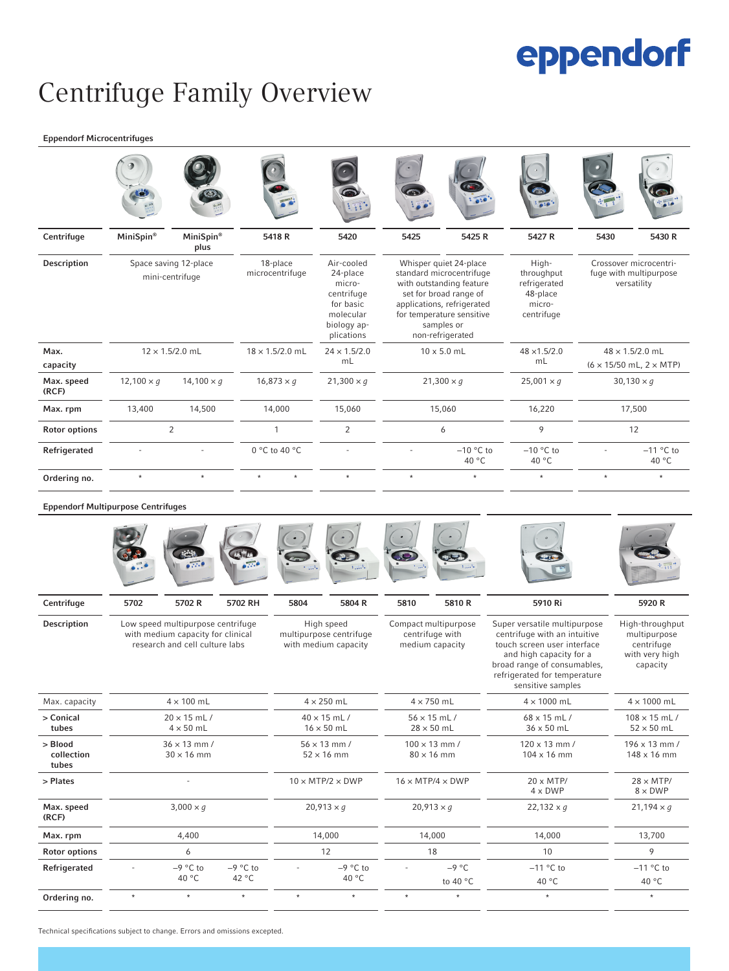# eppendorf

### Centrifuge Family Overview

#### Eppendorf Microcentrifuges

| Centrifuge           | MiniSpin®                                | MiniSpin®<br>plus | 5418R                       | 5420                                                                                                  | 5425                                                                                                                                                                                                  | 5425 R               | 5427 R                                                                  | 5430                                                                         | 5430 R               |
|----------------------|------------------------------------------|-------------------|-----------------------------|-------------------------------------------------------------------------------------------------------|-------------------------------------------------------------------------------------------------------------------------------------------------------------------------------------------------------|----------------------|-------------------------------------------------------------------------|------------------------------------------------------------------------------|----------------------|
| Description          | Space saving 12-place<br>mini-centrifuge |                   | 18-place<br>microcentrifuge | Air-cooled<br>24-place<br>micro-<br>centrifuge<br>for basic<br>molecular<br>biology ap-<br>plications | Whisper quiet 24-place<br>standard microcentrifuge<br>with outstanding feature<br>set for broad range of<br>applications, refrigerated<br>for temperature sensitive<br>samples or<br>non-refrigerated |                      | High-<br>throughput<br>refrigerated<br>48-place<br>micro-<br>centrifuge | Crossover microcentri-<br>fuge with multipurpose<br>versatility              |                      |
| Max.<br>capacity     | $12 \times 1.5/2.0$ mL                   |                   | $18 \times 1.5/2.0$ mL      | $24 \times 1.5/2.0$<br>mL                                                                             | $10 \times 5.0$ mL                                                                                                                                                                                    |                      | $48 \times 1.5/2.0$<br>mL                                               | $48 \times 1.5/2.0$ mL<br>$(6 \times 15/50 \text{ mL}, 2 \times \text{MTP})$ |                      |
| Max. speed<br>(RCF)  | $12,100 \times q$                        | $14,100 \times q$ | $16,873 \times g$           | $21,300 \times q$                                                                                     |                                                                                                                                                                                                       | $21,300 \times q$    | $25,001 \times q$                                                       |                                                                              | $30,130 \times q$    |
| Max. rpm             | 13,400                                   | 14,500            | 14,000                      | 15,060                                                                                                |                                                                                                                                                                                                       | 15,060               | 16,220                                                                  |                                                                              | 17,500               |
| <b>Rotor options</b> | $\overline{2}$                           |                   | 1                           | 2                                                                                                     | 6                                                                                                                                                                                                     |                      | 9                                                                       | 12                                                                           |                      |
| Refrigerated         |                                          |                   | 0 °C to 40 °C               |                                                                                                       |                                                                                                                                                                                                       | $-10$ °C to<br>40 °C | $-10$ °C to<br>40 °C                                                    |                                                                              | $-11$ °C to<br>40 °C |
| Ordering no.         | $\star$                                  | $\star$           | $\star$                     | $\star$                                                                                               | $\star$                                                                                                                                                                                               | $\star$              | $\star$                                                                 | $\star$                                                                      | $\star$              |

#### Eppendorf Multipurpose Centrifuges

|                                |                                                                                                          | $\mathcal{L}^{\text{old}}$<br>$\overline{\bullet}$ | 27.6                         |                                                                                    |                              | $\mathcal{L}_{\text{max}}$                                 |                                           |                                                                                                                                                                                                            |                                                                             |
|--------------------------------|----------------------------------------------------------------------------------------------------------|----------------------------------------------------|------------------------------|------------------------------------------------------------------------------------|------------------------------|------------------------------------------------------------|-------------------------------------------|------------------------------------------------------------------------------------------------------------------------------------------------------------------------------------------------------------|-----------------------------------------------------------------------------|
| Centrifuge                     | 5702                                                                                                     | 5702 R                                             | 5702 RH                      | 5804                                                                               | 5804 R                       | 5810                                                       | 5810R                                     | 5910 Ri                                                                                                                                                                                                    | 5920 R                                                                      |
| <b>Description</b>             | Low speed multipurpose centrifuge<br>with medium capacity for clinical<br>research and cell culture labs |                                                    |                              | High speed<br>multipurpose centrifuge<br>with medium capacity                      |                              | Compact multipurpose<br>centrifuge with<br>medium capacity |                                           | Super versatile multipurpose<br>centrifuge with an intuitive<br>touch screen user interface<br>and high capacity for a<br>broad range of consumables,<br>refrigerated for temperature<br>sensitive samples | High-throughput<br>multipurpose<br>centrifuge<br>with very high<br>capacity |
| Max. capacity                  | $4 \times 100$ mL                                                                                        |                                                    |                              | $4 \times 250$ mL                                                                  |                              | $4 \times 750$ mL                                          |                                           | $4 \times 1000$ mL                                                                                                                                                                                         | $4 \times 1000$ mL                                                          |
| > Conical<br>tubes             |                                                                                                          | $20 \times 15$ mL/<br>$4 \times 50$ mL             |                              | $40 \times 15$ mL/<br>$56 \times 15$ mL/<br>$16 \times 50$ mL<br>$28 \times 50$ mL |                              |                                                            | 68 x 15 mL/<br>36 x 50 mL                 | $108 \times 15$ mL/<br>$52 \times 50$ mL                                                                                                                                                                   |                                                                             |
| > Blood<br>collection<br>tubes |                                                                                                          | $36 \times 13$ mm /<br>$30 \times 16$ mm           |                              | $56 \times 13$ mm /<br>$52 \times 16$ mm                                           |                              |                                                            | $100 \times 13$ mm /<br>$80 \times 16$ mm | $120 \times 13$ mm /<br>104 x 16 mm                                                                                                                                                                        | 196 x 13 mm /<br>148 x 16 mm                                                |
| > Plates                       |                                                                                                          |                                                    | $10 \times MTP/2 \times DWP$ |                                                                                    | $16 \times MTP/4 \times DWP$ |                                                            | $20 \times MTP/$<br>$4 \times DWP$        | $28 \times MTP/$<br>$8 \times DWP$                                                                                                                                                                         |                                                                             |
| Max. speed<br>(RCF)            | $3,000 \times q$                                                                                         |                                                    | $20,913 \times q$            |                                                                                    | $20,913 \times q$            |                                                            | 22,132 $\times$ q                         | $21,194 \times q$                                                                                                                                                                                          |                                                                             |
| Max. rpm                       | 4,400                                                                                                    |                                                    | 14,000                       |                                                                                    | 14,000                       |                                                            | 14,000                                    | 13,700                                                                                                                                                                                                     |                                                                             |
| <b>Rotor options</b>           | 6                                                                                                        |                                                    | 12                           |                                                                                    | 18                           |                                                            | 10                                        | 9                                                                                                                                                                                                          |                                                                             |
| Refrigerated                   |                                                                                                          | $-9$ °C to<br>40 °C                                | $-9$ °C to<br>42 °C          |                                                                                    | $-9$ °C to<br>40 °C          |                                                            | $-9 °C$<br>to 40 °C                       | $-11$ °C to<br>40 °C                                                                                                                                                                                       | $-11$ °C to<br>40 °C                                                        |
| Ordering no.                   | $\star$                                                                                                  | $\star$                                            | $^\star$                     | $\star$                                                                            | $\star$                      | $\ast$                                                     | $\star$                                   | $\star$                                                                                                                                                                                                    | $\star$                                                                     |

Technical specifications subject to change. Errors and omissions excepted.